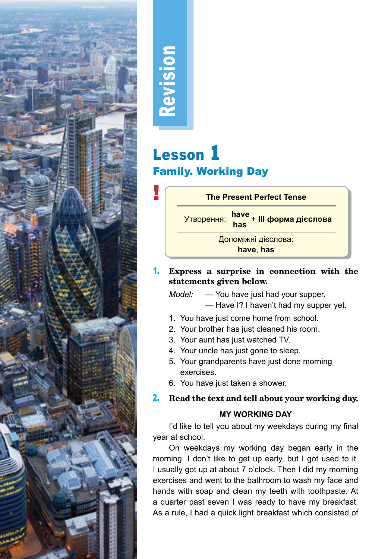

# Revision

## Lesson **1** Family. Working Day



1. **Express a surprise in connection with the statements given below.**

*Model:* — You have just had your supper. *—* Have I? I haven't had my supper yet.

- 1. You have just come home from school.
- 2. Your brother has just cleaned his room.
- 3. Your aunt has just watched TV.
- 4. Your uncle has just gone to sleep.
- 5. Your grandparents have just done morning exercises.
- 6. You have just taken a shower.

#### 2. **Read the text and tell about your working day.**

#### **MY WORKING DAY**

I'd like to tell you about my weekdays during my final year at school.

On weekdays my working day began early in the morning. I don't like to get up early, but I got used to it. I usually got up at about 7 o'clock. Then I did my morning exercises and went to the bathroom to wash my face and hands with soap and clean my teeth with toothpaste. At a quarter past seven I was ready to have my breakfast. As a rule, I had a quick light breakfast which consisted of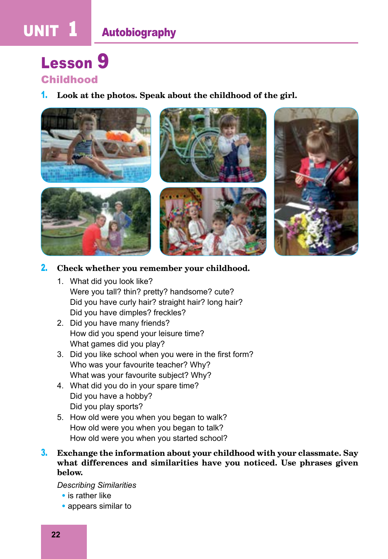# UNIT **1** Autobiography

### Lesson **9** Childhood

#### 1. **Look at the photos. Speak about the childhood of the girl.**



2. **Check whether you remember your childhood.**

- 1. What did you look like? Were you tall? thin? pretty? handsome? cute? Did you have curly hair? straight hair? long hair? Did you have dimples? freckles?
- 2. Did you have many friends? How did you spend your leisure time? What games did you play?
- 3. Did you like school when you were in the first form? Who was your favourite teacher? Why? What was your favourite subject? Why?
- 4. What did you do in your spare time? Did you have a hobby? Did you play sports?
- 5. How old were you when you began to walk? How old were you when you began to talk? How old were you when you started school?
- 3. **Exchange the information about your childhood with your classmate. Say what differences and similarities have you noticed. Use phrases given below.**

*Describing Similarities*

- is rather like
- appears similar to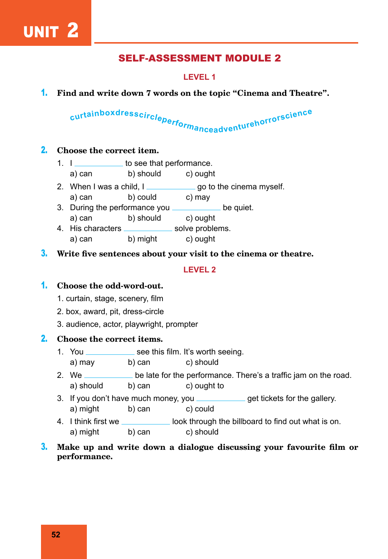#### SELF-ASSESSMENT MODULE 2

#### **LEVEL 1**

1. **Find and write down 7 words on the topic "Cinema and Theatre".** 

# curtainboxdresscircleperformanceadventurehorrorscience

#### 2. **Choose the correct item.**

- 1.  $I_{\text{2}}$  to see that performance.
	- a) can b) should c) ought
- 2. When I was a child,  $I_{\text{max}}$  go to the cinema myself. a) can b) could c) may
- 3. During the performance you **contained** be quiet.
- a) can b) should c) ought
- 4. His characters \_\_\_\_\_\_\_\_\_\_\_\_\_ solve problems. a) can b) might c) ought
- 3. **Write five sentences about your visit to the cinema or theatre.**

#### **LEVEL 2**

#### 1. **Choose the odd-word-out.**

- 1. curtain, stage, scenery, film
- 2. box, award, pit, dress-circle
- 3. audience, actor, playwright, prompter

#### 2. **Choose the correct items.**

- 1. You \_\_\_\_\_\_\_\_\_\_\_\_\_\_ see this film. It's worth seeing.
	- a) may b) can c) should
- 2. We **be late for the performance.** There's a traffic jam on the road. a) should b) can c) ought to
- 3. If you don't have much money, you **come the set tickets for the gallery**. a) might b) can c) could
- 4. I think first we **look through the billboard to find out what is on.** a) might b) can c) should
- 3. **Make up and write down a dialogue discussing your favourite film or performance.**